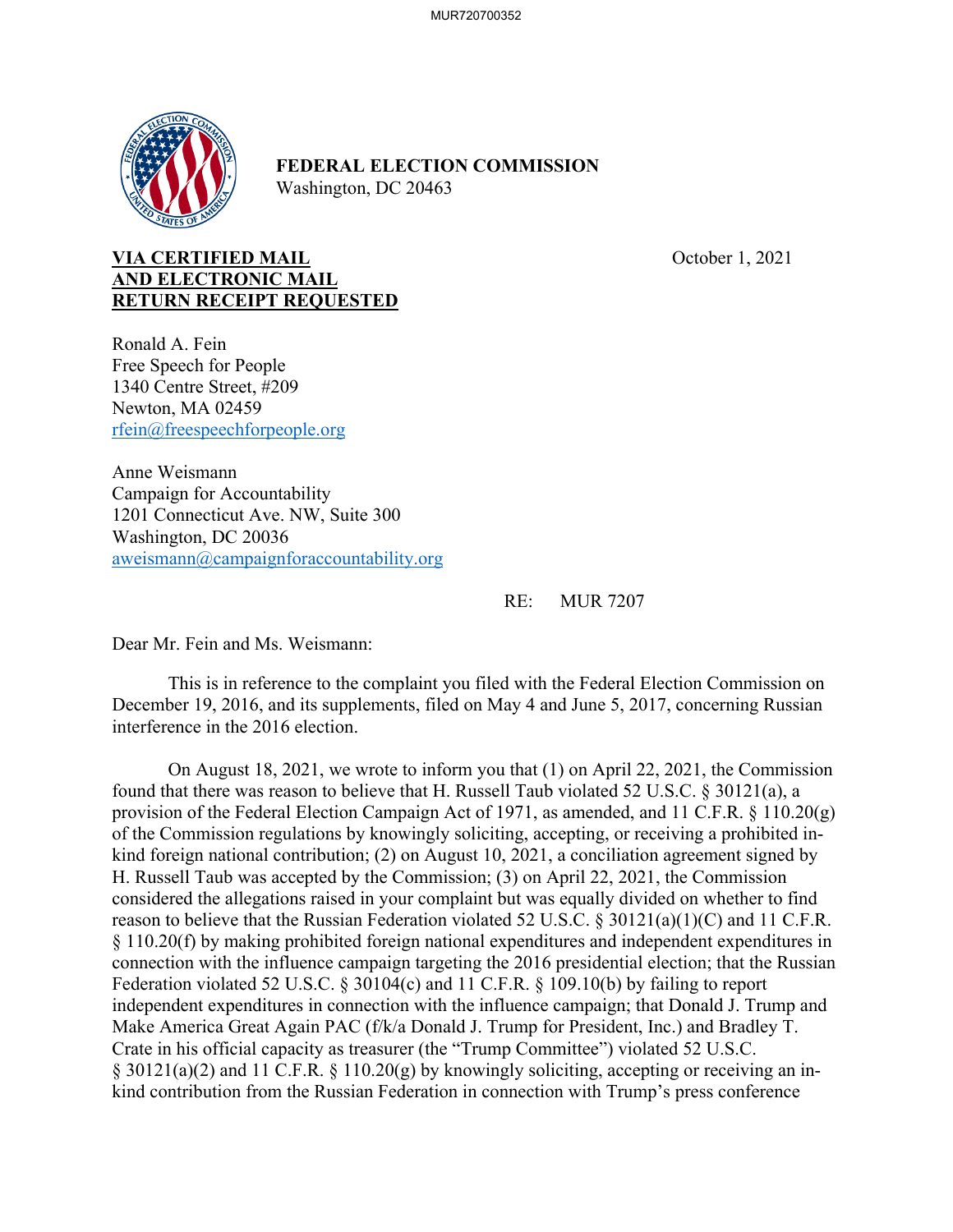

## **FEDERAL ELECTION COMMISSION**  Washington, DC 20463

## **VIA CERTIFIED MAIL COLORED MAIL October 1, 2021 AND ELECTRONIC MAIL RETURN RECEIPT REQUESTED**

Ronald A. Fein Free Speech for People 1340 Centre Street, #209 Newton, MA 02459 rfein@freespeechforpeople.org

Anne Weismann Campaign for Accountability 1201 Connecticut Ave. NW, Suite 300 Washington, DC 20036 aweismann@campaignforaccountability.org

RE: MUR 7207

Dear Mr. Fein and Ms. Weismann:

 This is in reference to the complaint you filed with the Federal Election Commission on December 19, 2016, and its supplements, filed on May 4 and June 5, 2017, concerning Russian interference in the 2016 election.

 On August 18, 2021, we wrote to inform you that (1) on April 22, 2021, the Commission found that there was reason to believe that H. Russell Taub violated 52 U.S.C. § 30121(a), a provision of the Federal Election Campaign Act of 1971, as amended, and 11 C.F.R. § 110.20(g) of the Commission regulations by knowingly soliciting, accepting, or receiving a prohibited inkind foreign national contribution; (2) on August 10, 2021, a conciliation agreement signed by H. Russell Taub was accepted by the Commission; (3) on April 22, 2021, the Commission considered the allegations raised in your complaint but was equally divided on whether to find reason to believe that the Russian Federation violated 52 U.S.C. § 30121(a)(1)(C) and 11 C.F.R. § 110.20(f) by making prohibited foreign national expenditures and independent expenditures in connection with the influence campaign targeting the 2016 presidential election; that the Russian Federation violated 52 U.S.C. § 30104(c) and 11 C.F.R. § 109.10(b) by failing to report independent expenditures in connection with the influence campaign; that Donald J. Trump and Make America Great Again PAC (f/k/a Donald J. Trump for President, Inc.) and Bradley T. Crate in his official capacity as treasurer (the "Trump Committee") violated 52 U.S.C. § 30121(a)(2) and 11 C.F.R. § 110.20(g) by knowingly soliciting, accepting or receiving an inkind contribution from the Russian Federation in connection with Trump's press conference